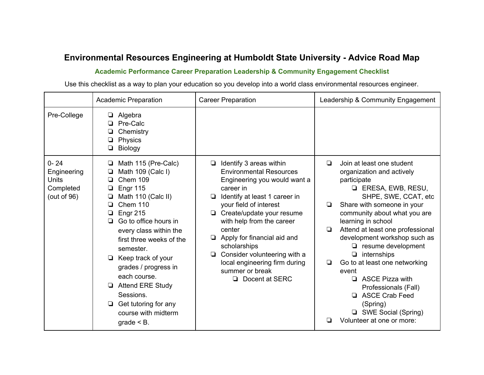## **Environmental Resources Engineering at Humboldt State University Advice Road Map**

## **Academic Performance Career Preparation Leadership & Community Engagement Checklist**

Use this checklist as a way to plan your education so you develop into a world class environmental resources engineer.

|                                                                        | <b>Academic Preparation</b>                                                                                                                                                                                                                                                                                                                                                                                                           | <b>Career Preparation</b>                                                                                                                                                                                                                                                                                                                                                                       | Leadership & Community Engagement                                                                                                                                                                                                                                                                                                                                                                                                                                                                                                                           |
|------------------------------------------------------------------------|---------------------------------------------------------------------------------------------------------------------------------------------------------------------------------------------------------------------------------------------------------------------------------------------------------------------------------------------------------------------------------------------------------------------------------------|-------------------------------------------------------------------------------------------------------------------------------------------------------------------------------------------------------------------------------------------------------------------------------------------------------------------------------------------------------------------------------------------------|-------------------------------------------------------------------------------------------------------------------------------------------------------------------------------------------------------------------------------------------------------------------------------------------------------------------------------------------------------------------------------------------------------------------------------------------------------------------------------------------------------------------------------------------------------------|
| Pre-College                                                            | Algebra<br>Pre-Calc<br>Chemistry<br>Physics<br>Biology                                                                                                                                                                                                                                                                                                                                                                                |                                                                                                                                                                                                                                                                                                                                                                                                 |                                                                                                                                                                                                                                                                                                                                                                                                                                                                                                                                                             |
| $0 - 24$<br>Engineering<br><b>Units</b><br>Completed<br>(out of $96$ ) | Math 115 (Pre-Calc)<br>❏<br>Math 109 (Calc I)<br><b>Chem 109</b><br><b>Engr 115</b><br>Math 110 (Calc II)<br><b>Chem 110</b><br>Engr 215<br>Go to office hours in<br>▫<br>every class within the<br>first three weeks of the<br>semester.<br>$\Box$ Keep track of your<br>grades / progress in<br>each course.<br><b>Attend ERE Study</b><br>❏<br>Sessions.<br>Get tutoring for any<br>$\Box$<br>course with midterm<br>$grade < B$ . | Identify 3 areas within<br><b>Environmental Resources</b><br>Engineering you would want a<br>career in<br>Identify at least 1 career in<br>❏<br>your field of interest<br>Create/update your resume<br>with help from the career<br>center<br>Apply for financial aid and<br>scholarships<br>Consider volunteering with a<br>local engineering firm during<br>summer or break<br>Docent at SERC | Join at least one student<br>$\Box$<br>organization and actively<br>participate<br><b>LERESA, EWB, RESU,</b><br>SHPE, SWE, CCAT, etc<br>Share with someone in your<br>▫<br>community about what you are<br>learning in school<br>Attend at least one professional<br>$\Box$<br>development workshop such as<br>$\Box$ resume development<br>$\Box$ internships<br>Go to at least one networking<br>▫<br>event<br>$\Box$ ASCE Pizza with<br>Professionals (Fall)<br>ASCE Crab Feed<br>(Spring)<br>SWE Social (Spring)<br>Volunteer at one or more:<br>$\Box$ |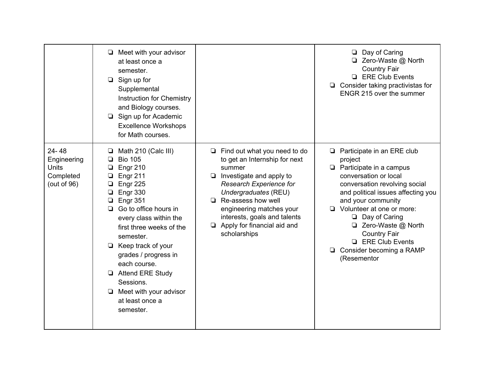|                                                                  | $\Box$ Meet with your advisor<br>at least once a<br>semester.<br>$\Box$ Sign up for<br>Supplemental<br>Instruction for Chemistry<br>and Biology courses.<br>Sign up for Academic<br>▫<br><b>Excellence Workshops</b><br>for Math courses.                                                                                                                                                                           |                                                                                                                                                                                                                                                                                                             | $\Box$ Day of Caring<br>□ Zero-Waste @ North<br><b>Country Fair</b><br><b>ERE Club Events</b><br>$\Box$ Consider taking practivistas for<br>ENGR 215 over the summer                                                                                                                                                                                                                 |
|------------------------------------------------------------------|---------------------------------------------------------------------------------------------------------------------------------------------------------------------------------------------------------------------------------------------------------------------------------------------------------------------------------------------------------------------------------------------------------------------|-------------------------------------------------------------------------------------------------------------------------------------------------------------------------------------------------------------------------------------------------------------------------------------------------------------|--------------------------------------------------------------------------------------------------------------------------------------------------------------------------------------------------------------------------------------------------------------------------------------------------------------------------------------------------------------------------------------|
| 24-48<br>Engineering<br><b>Units</b><br>Completed<br>(out of 96) | Math 210 (Calc III)<br>⊔<br><b>Bio 105</b><br>❏<br>Engr 210<br>❏<br>Engr 211<br>❏<br>Engr 225<br>❏<br>Engr 330<br>❏<br><b>Engr 351</b><br>❏<br>Go to office hours in<br>◻<br>every class within the<br>first three weeks of the<br>semester.<br>$\Box$ Keep track of your<br>grades / progress in<br>each course.<br>Attend ERE Study<br>Sessions.<br>$\Box$ Meet with your advisor<br>at least once a<br>semester. | $\Box$ Find out what you need to do<br>to get an Internship for next<br>summer<br>Investigate and apply to<br>Q.<br>Research Experience for<br>Undergraduates (REU)<br>$\Box$ Re-assess how well<br>engineering matches your<br>interests, goals and talents<br>Apply for financial aid and<br>scholarships | $\Box$ Participate in an ERE club<br>project<br>$\Box$ Participate in a campus<br>conversation or local<br>conversation revolving social<br>and political issues affecting you<br>and your community<br>$\Box$ Volunteer at one or more:<br>$\Box$ Day of Caring<br>□ Zero-Waste @ North<br><b>Country Fair</b><br><b>ERE Club Events</b><br>Consider becoming a RAMP<br>(Resementor |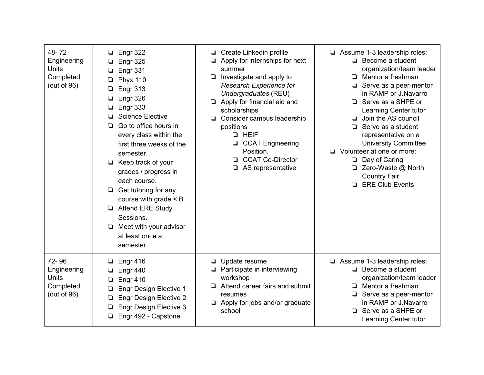| 48-72<br>Engineering<br><b>Units</b><br>Completed<br>(out of $96$ ) | Engr 322<br>❏<br>Engr 325<br>❏<br>Engr 331<br><b>Phyx 110</b><br>⊔<br><b>Engr 313</b><br>❏<br>Engr 326<br>Engr 333<br>❏<br><b>Science Elective</b><br>Go to office hours in<br>❏<br>every class within the<br>first three weeks of the<br>semester.<br>Keep track of your<br>❏<br>grades / progress in<br>each course.<br>Get tutoring for any<br>□<br>course with grade $<$ B.<br><b>Attend ERE Study</b><br>$\Box$<br>Sessions.<br>Meet with your advisor<br>at least once a<br>semester. | Create Linkedin profile<br>□<br>Apply for internships for next<br>$\Box$<br>summer<br>$\Box$ Investigate and apply to<br>Research Experience for<br>Undergraduates (REU)<br>$\Box$ Apply for financial aid and<br>scholarships<br>□ Consider campus leadership<br>positions<br><b>Q</b> HEIF<br><b>CCAT Engineering</b><br>Position.<br><b>CCAT Co-Director</b><br>❏.<br>$\Box$ AS representative | $\Box$ Assume 1-3 leadership roles:<br>$\Box$ Become a student<br>organization/team leader<br>Mentor a freshman<br>o.<br>Serve as a peer-mentor<br>❏<br>in RAMP or J.Navarro<br>Serve as a SHPE or<br>Learning Center tutor<br>Join the AS council<br>⊡<br>Serve as a student<br>$\Box$<br>representative on a<br><b>University Committee</b><br>Volunteer at one or more:<br>Day of Caring<br>Q.<br>□ Zero-Waste @ North<br><b>Country Fair</b><br><b>ERE Club Events</b><br>$\Box$ |
|---------------------------------------------------------------------|---------------------------------------------------------------------------------------------------------------------------------------------------------------------------------------------------------------------------------------------------------------------------------------------------------------------------------------------------------------------------------------------------------------------------------------------------------------------------------------------|---------------------------------------------------------------------------------------------------------------------------------------------------------------------------------------------------------------------------------------------------------------------------------------------------------------------------------------------------------------------------------------------------|--------------------------------------------------------------------------------------------------------------------------------------------------------------------------------------------------------------------------------------------------------------------------------------------------------------------------------------------------------------------------------------------------------------------------------------------------------------------------------------|
| 72-96<br>Engineering<br><b>Units</b><br>Completed<br>(out of 96)    | <b>Engr 416</b><br>Engr 440<br>Engr 410<br>⊔<br><b>Engr Design Elective 1</b><br>❏<br><b>Engr Design Elective 2</b><br>⊔<br><b>Engr Design Elective 3</b><br>Engr 492 - Capstone                                                                                                                                                                                                                                                                                                            | Update resume<br>Participate in interviewing<br>u<br>workshop<br>Attend career fairs and submit<br>□<br>resumes<br>Apply for jobs and/or graduate<br>school                                                                                                                                                                                                                                       | $\Box$ Assume 1-3 leadership roles:<br>Become a student<br>❏<br>organization/team leader<br>Mentor a freshman<br>⊡<br>Serve as a peer-mentor<br>in RAMP or J.Navarro<br>Serve as a SHPE or<br>o.<br>Learning Center tutor                                                                                                                                                                                                                                                            |